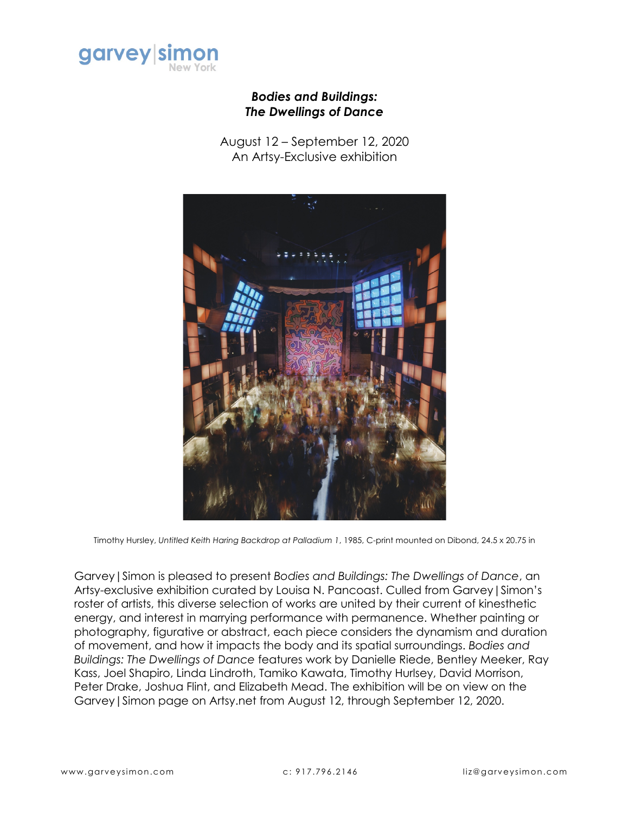

## *Bodies and Buildings: The Dwellings of Dance*

August 12 – September 12, 2020 An Artsy-Exclusive exhibition



Timothy Hursley, *Untitled Keith Haring Backdrop at Palladium 1*, 1985, C-print mounted on Dibond, 24.5 x 20.75 in

Garvey|Simon is pleased to present *Bodies and Buildings: The Dwellings of Dance*, an Artsy-exclusive exhibition curated by Louisa N. Pancoast. Culled from Garvey|Simon's roster of artists, this diverse selection of works are united by their current of kinesthetic energy, and interest in marrying performance with permanence. Whether painting or photography, figurative or abstract, each piece considers the dynamism and duration of movement, and how it impacts the body and its spatial surroundings. *Bodies and Buildings: The Dwellings of Dance* features work by Danielle Riede, Bentley Meeker, Ray Kass, Joel Shapiro, Linda Lindroth, Tamiko Kawata, Timothy Hurlsey, David Morrison, Peter Drake, Joshua Flint, and Elizabeth Mead. The exhibition will be on view on the Garvey|Simon page on Artsy.net from August 12, through September 12, 2020.